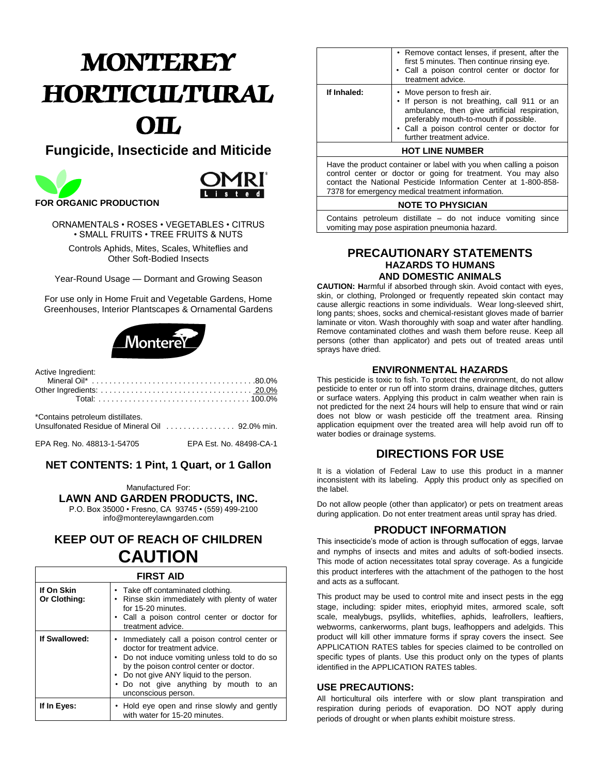# *MONTEREY HORTICULTURAL OIL*

# **Fungicide, Insecticide and Miticide**





ORNAMENTALS • ROSES • VEGETABLES • CITRUS • SMALL FRUITS • TREE FRUITS & NUTS

Controls Aphids, Mites, Scales, Whiteflies and Other Soft-Bodied Insects

Year-Round Usage — Dormant and Growing Season

For use only in Home Fruit and Vegetable Gardens, Home Greenhouses, Interior Plantscapes & Ornamental Gardens



| Active Ingredient:                                    |  |
|-------------------------------------------------------|--|
| *Contains petroleum distillates.                      |  |
| EPA Reg. No. 48813-1-54705<br>FPA Fst. No. 48498-CA-1 |  |

## **NET CONTENTS: 1 Pint, 1 Quart, or 1 Gallon**

Manufactured For: **LAWN AND GARDEN PRODUCTS, INC.**

P.O. Box 35000 • Fresno, CA 93745 • (559) 499-2100

info@montereylawngarden.com

## **KEEP OUT OF REACH OF CHILDREN CAUTION**

| <b>FIRST AID</b>           |                                                                                                                                                                                                                                                                                    |  |  |
|----------------------------|------------------------------------------------------------------------------------------------------------------------------------------------------------------------------------------------------------------------------------------------------------------------------------|--|--|
| If On Skin<br>Or Clothing: | • Take off contaminated clothing.<br>• Rinse skin immediately with plenty of water<br>for 15-20 minutes.<br>• Call a poison control center or doctor for<br>treatment advice.                                                                                                      |  |  |
| If Swallowed:              | • Immediately call a poison control center or<br>doctor for treatment advice.<br>• Do not induce vomiting unless told to do so<br>by the poison control center or doctor.<br>Do not give ANY liquid to the person.<br>• Do not give anything by mouth to an<br>unconscious person. |  |  |
| If In Eyes:                | • Hold eye open and rinse slowly and gently<br>with water for 15-20 minutes.                                                                                                                                                                                                       |  |  |

|             | • Remove contact lenses, if present, after the<br>first 5 minutes. Then continue rinsing eye.<br>• Call a poison control center or doctor for<br>treatment advice.                                                                                 |
|-------------|----------------------------------------------------------------------------------------------------------------------------------------------------------------------------------------------------------------------------------------------------|
| If Inhaled: | • Move person to fresh air.<br>• If person is not breathing, call 911 or an<br>ambulance, then give artificial respiration,<br>preferably mouth-to-mouth if possible.<br>• Call a poison control center or doctor for<br>further treatment advice. |
|             | 11271117111177777                                                                                                                                                                                                                                  |

#### **HOT LINE NUMBER**

Have the product container or label with you when calling a poison control center or doctor or going for treatment. You may also contact the National Pesticide Information Center at 1-800-858- 7378 for emergency medical treatment information.

#### **NOTE TO PHYSICIAN**

Contains petroleum distillate – do not induce vomiting since vomiting may pose aspiration pneumonia hazard.

#### **PRECAUTIONARY STATEMENTS HAZARDS TO HUMANS AND DOMESTIC ANIMALS**

**CAUTION: H**armful if absorbed through skin. Avoid contact with eyes, skin, or clothing, Prolonged or frequently repeated skin contact may cause allergic reactions in some individuals. Wear long-sleeved shirt, long pants; shoes, socks and chemical-resistant gloves made of barrier laminate or viton. Wash thoroughly with soap and water after handling. Remove contaminated clothes and wash them before reuse. Keep all persons (other than applicator) and pets out of treated areas until sprays have dried.

#### **ENVIRONMENTAL HAZARDS**

This pesticide is toxic to fish. To protect the environment, do not allow pesticide to enter or run off into storm drains, drainage ditches, gutters or surface waters. Applying this product in calm weather when rain is not predicted for the next 24 hours will help to ensure that wind or rain does not blow or wash pesticide off the treatment area. Rinsing application equipment over the treated area will help avoid run off to water bodies or drainage systems.

## **DIRECTIONS FOR USE**

It is a violation of Federal Law to use this product in a manner inconsistent with its labeling. Apply this product only as specified on the label.

Do not allow people (other than applicator) or pets on treatment areas during application. Do not enter treatment areas until spray has dried.

#### **PRODUCT INFORMATION**

This insecticide's mode of action is through suffocation of eggs, larvae and nymphs of insects and mites and adults of soft-bodied insects. This mode of action necessitates total spray coverage. As a fungicide this product interferes with the attachment of the pathogen to the host and acts as a suffocant.

This product may be used to control mite and insect pests in the egg stage, including: spider mites, eriophyid mites, armored scale, soft scale, mealybugs, psyllids, whiteflies, aphids, leafrollers, leaftiers, webworms, cankerworms, plant bugs, leafhoppers and adelgids. This product will kill other immature forms if spray covers the insect. See APPLICATION RATES tables for species claimed to be controlled on specific types of plants. Use this product only on the types of plants identified in the APPLICATION RATES tables.

#### **USE PRECAUTIONS:**

All horticultural oils interfere with or slow plant transpiration and respiration during periods of evaporation. DO NOT apply during periods of drought or when plants exhibit moisture stress.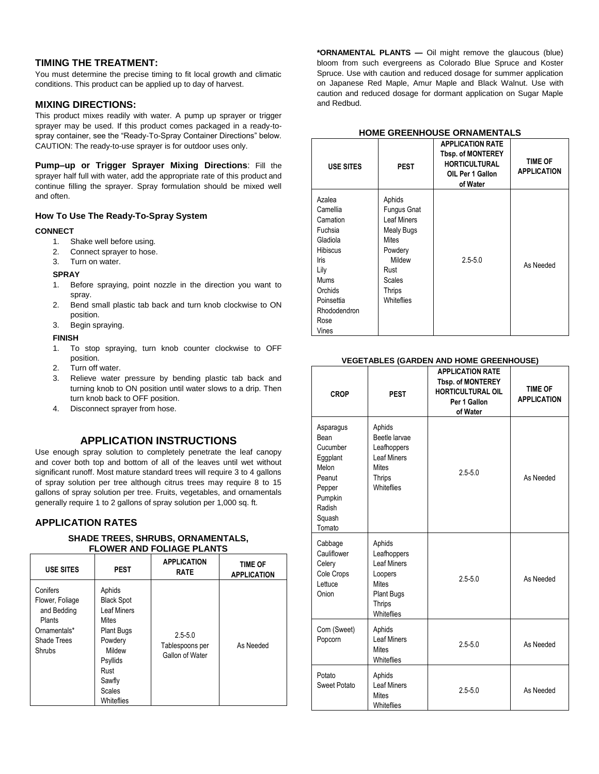#### **TIMING THE TREATMENT:**

You must determine the precise timing to fit local growth and climatic conditions. This product can be applied up to day of harvest.

#### **MIXING DIRECTIONS:**

This product mixes readily with water. A pump up sprayer or trigger sprayer may be used. If this product comes packaged in a ready-tospray container, see the "Ready-To-Spray Container Directions" below. CAUTION: The ready-to-use sprayer is for outdoor uses only.

**Pump–up or Trigger Sprayer Mixing Directions**: Fill the sprayer half full with water, add the appropriate rate of this product and continue filling the sprayer. Spray formulation should be mixed well and often.

#### **How To Use The Ready-To-Spray System**

#### **CONNECT**

- 1. Shake well before using.
- 2. Connect sprayer to hose.
- 3. Turn on water.

#### **SPRAY**

- 1. Before spraying, point nozzle in the direction you want to spray.
- 2. Bend small plastic tab back and turn knob clockwise to ON position.
- 3. Begin spraying.

#### **FINISH**

- 1. To stop spraying, turn knob counter clockwise to OFF position.
- 2. Turn off water.
- 3. Relieve water pressure by bending plastic tab back and turning knob to ON position until water slows to a drip. Then turn knob back to OFF position.
- 4. Disconnect sprayer from hose.

## **APPLICATION INSTRUCTIONS**

Use enough spray solution to completely penetrate the leaf canopy and cover both top and bottom of all of the leaves until wet without significant runoff. Most mature standard trees will require 3 to 4 gallons of spray solution per tree although citrus trees may require 8 to 15 gallons of spray solution per tree. Fruits, vegetables, and ornamentals generally require 1 to 2 gallons of spray solution per 1,000 sq. ft.

#### **APPLICATION RATES**

#### **SHADE TREES, SHRUBS, ORNAMENTALS, FLOWER AND FOLIAGE PLANTS**

| <b>USE SITES</b>                                                                              | <b>PEST</b>                                                                                                                                                              | <b>APPLICATION</b><br><b>RATE</b>                 | <b>TIME OF</b><br><b>APPLICATION</b> |
|-----------------------------------------------------------------------------------------------|--------------------------------------------------------------------------------------------------------------------------------------------------------------------------|---------------------------------------------------|--------------------------------------|
| Conifers<br>Flower, Foliage<br>and Bedding<br>Plants<br>Ornamentals*<br>Shade Trees<br>Shrubs | Aphids<br><b>Black Spot</b><br><b>Leaf Miners</b><br><b>Mites</b><br><b>Plant Bugs</b><br>Powdery<br>Mildew<br>Psyllids<br>Rust<br>Sawfly<br><b>Scales</b><br>Whiteflies | $2.5 - 5.0$<br>Tablespoons per<br>Gallon of Water | As Needed                            |

**\*ORNAMENTAL PLANTS —** Oil might remove the glaucous (blue) bloom from such evergreens as Colorado Blue Spruce and Koster Spruce. Use with caution and reduced dosage for summer application on Japanese Red Maple, Amur Maple and Black Walnut. Use with caution and reduced dosage for dormant application on Sugar Maple and Redbud.

#### **HOME GREENHOUSE ORNAMENTALS**

| <b>USE SITES</b>                                                                                                                                                   | <b>PEST</b>                                                                                                                                                   | <b>APPLICATION RATE</b><br><b>Tbsp. of MONTEREY</b><br><b>HORTICULTURAL</b><br>OIL Per 1 Gallon<br>of Water | <b>TIME OF</b><br><b>APPLICATION</b> |
|--------------------------------------------------------------------------------------------------------------------------------------------------------------------|---------------------------------------------------------------------------------------------------------------------------------------------------------------|-------------------------------------------------------------------------------------------------------------|--------------------------------------|
| Azalea<br>Camellia<br>Carnation<br>Fuchsia<br>Gladiola<br><b>Hibiscus</b><br><b>Iris</b><br>Lily<br>Mums<br>Orchids<br>Poinsettia<br>Rhododendron<br>Rose<br>Vines | Aphids<br><b>Fungus Gnat</b><br><b>Leaf Miners</b><br><b>Mealy Bugs</b><br><b>Mites</b><br>Powdery<br>Mildew<br>Rust<br><b>Scales</b><br>Thrips<br>Whiteflies | $2.5 - 5.0$                                                                                                 | As Needed                            |

#### **VEGETABLES (GARDEN AND HOME GREENHOUSE)**

| <b>CROP</b>                                                                                                     | <b>PEST</b>                                                                                                         | <b>APPLICATION RATE</b><br><b>Tbsp. of MONTEREY</b><br><b>HORTICULTURAL OIL</b><br>Per 1 Gallon<br>of Water | <b>TIME OF</b><br><b>APPLICATION</b> |
|-----------------------------------------------------------------------------------------------------------------|---------------------------------------------------------------------------------------------------------------------|-------------------------------------------------------------------------------------------------------------|--------------------------------------|
| Asparagus<br>Bean<br>Cucumber<br>Eggplant<br>Melon<br>Peanut<br>Pepper<br>Pumpkin<br>Radish<br>Squash<br>Tomato | Aphids<br>Beetle larvae<br>Leafhoppers<br><b>Leaf Miners</b><br><b>Mites</b><br>Thrips<br>Whiteflies                | $2.5 - 5.0$                                                                                                 | As Needed                            |
| Cabbage<br>Cauliflower<br>Celery<br>Cole Crops<br>Lettuce<br>Onion                                              | Aphids<br>Leafhoppers<br><b>Leaf Miners</b><br>Loopers<br><b>Mites</b><br>Plant Bugs<br><b>Thrips</b><br>Whiteflies | $2.5 - 5.0$                                                                                                 | As Needed                            |
| Corn (Sweet)<br>Popcorn                                                                                         | Aphids<br>Leaf Miners<br><b>Mites</b><br>Whiteflies                                                                 | $2.5 - 5.0$                                                                                                 | As Needed                            |
| Potato<br>Sweet Potato                                                                                          | Aphids<br><b>Leaf Miners</b><br><b>Mites</b><br>Whiteflies                                                          | $2.5 - 5.0$                                                                                                 | As Needed                            |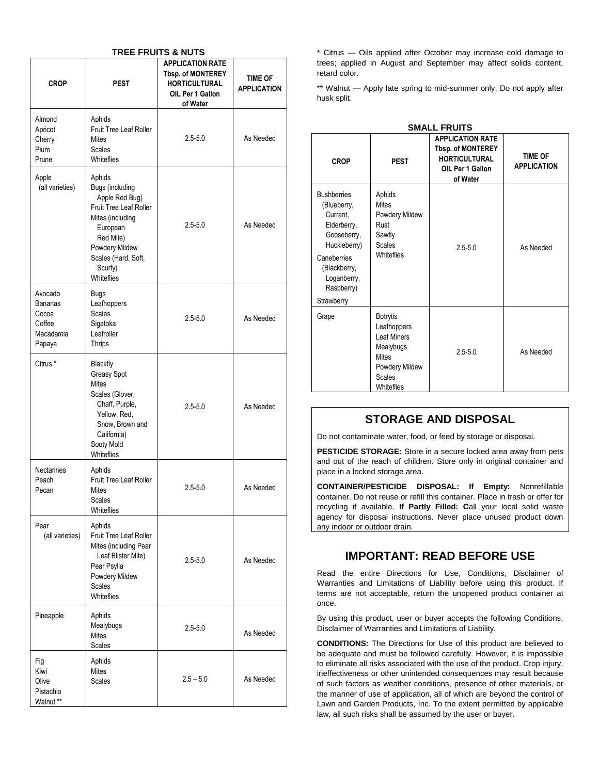| <b>TREE FRUITS &amp; NUTS</b>                                |                                                                                                                                                                                      |                                                                                                             |                                      |
|--------------------------------------------------------------|--------------------------------------------------------------------------------------------------------------------------------------------------------------------------------------|-------------------------------------------------------------------------------------------------------------|--------------------------------------|
| <b>CROP</b>                                                  | <b>PEST</b>                                                                                                                                                                          | <b>APPLICATION RATE</b><br><b>Tbsp. of MONTEREY</b><br><b>HORTICULTURAL</b><br>OIL Per 1 Gallon<br>of Water | <b>TIME OF</b><br><b>APPLICATION</b> |
| Almond<br>Apricot<br>Cherry<br>Plum<br>Prune                 | Aphids<br>Fruit Tree Leaf Roller<br><b>Mites</b><br><b>Scales</b><br>Whiteflies                                                                                                      | $2.5 - 5.0$                                                                                                 | As Needed                            |
| Apple<br>(all varieties)                                     | Aphids<br>Bugs (including<br>Apple Red Bug)<br>Fruit Tree Leaf Roller<br>Mites (including<br>European<br>Red Mite)<br>Powdery Mildew<br>Scales (Hard, Soft,<br>Scurfy)<br>Whiteflies | $2.5 - 5.0$                                                                                                 | As Needed                            |
| Avocado<br>Bananas<br>Cocoa<br>Coffee<br>Macadamia<br>Papaya | <b>Bugs</b><br>Leafhoppers<br><b>Scales</b><br>Sigatoka<br>Leafroller<br><b>Thrips</b>                                                                                               | $2.5 - 5.0$                                                                                                 | As Needed                            |
| Citrus <sup>*</sup>                                          | Blackfly<br>Greasy Spot<br><b>Mites</b><br>Scales (Glover,<br>Chaff, Purple,<br>Yellow, Red,<br>Snow, Brown and<br>California)<br>Sooty Mold<br>Whiteflies                           | $2.5 - 5.0$                                                                                                 | As Needed                            |
| <b>Nectarines</b><br>Peach<br>Pecan                          | Aphids<br><b>Fruit Tree Leaf Roller</b><br>Mites<br><b>Scales</b><br>Whiteflies                                                                                                      | $2.5 - 5.0$                                                                                                 | As Needed                            |
| Pear<br>(all varieties)                                      | Aphids<br>Fruit Tree Leaf Roller<br>Mites (including Pear<br>Leaf Blister Mite)<br>Pear Psylla<br>Powdery Mildew<br>Scales<br>Whiteflies                                             | $2.5 - 5.0$                                                                                                 | As Needed                            |
| Pineapple                                                    | Aphids<br>Mealybugs<br><b>Mites</b><br>Scales                                                                                                                                        | $2.5 - 5.0$                                                                                                 | As Needed                            |
| Fig<br>Kiwi<br>Olive<br>Pistachio<br>Walnut **               | Aphids<br><b>Mites</b><br><b>Scales</b>                                                                                                                                              | $2.5 - 5.0$                                                                                                 | As Needed                            |

\* Citrus — Oils applied after October may increase cold damage to trees; applied in August and September may affect solids content, retard color.

\*\* Walnut — Apply late spring to mid-summer only. Do not apply after husk split.

| <b>CROP</b>                                                                                                                                                           | <b>PEST</b>                                                                                                                 | <b>APPLICATION RATE</b><br><b>Tbsp. of MONTEREY</b><br><b>HORTICULTURAL</b><br>OIL Per 1 Gallon<br>of Water | <b>TIME OF</b><br><b>APPLICATION</b> |
|-----------------------------------------------------------------------------------------------------------------------------------------------------------------------|-----------------------------------------------------------------------------------------------------------------------------|-------------------------------------------------------------------------------------------------------------|--------------------------------------|
| <b>Bushberries</b><br>(Blueberry,<br>Currant.<br>Elderberry,<br>Gooseberry,<br>Huckleberry)<br>Caneberries<br>(Blackberry,<br>Loganberry,<br>Raspberry)<br>Strawberry | Aphids<br>Mites<br>Powdery Mildew<br>Rust<br>Sawfly<br><b>Scales</b><br>Whiteflies                                          | $2.5 - 5.0$                                                                                                 | As Needed                            |
| Grape                                                                                                                                                                 | <b>Botrytis</b><br>Leafhoppers<br>Leaf Miners<br>Mealybugs<br><b>Mites</b><br>Powdery Mildew<br><b>Scales</b><br>Whiteflies | $25 - 50$                                                                                                   | As Needed                            |

#### **SMALL FRUITS**

## **STORAGE AND DISPOSAL**

Do not contaminate water, food, or feed by storage or disposal.

**PESTICIDE STORAGE:** Store in a secure locked area away from pets and out of the reach of children. Store only in original container and place in a locked storage area.

**CONTAINER/PESTICIDE DISPOSAL: If Empty:** Nonrefillable container. Do not reuse or refill this container. Place in trash or offer for recycling if available. **If Partly Filled: C**all your local solid waste agency for disposal instructions. Never place unused product down any indoor or outdoor drain.

## **IMPORTANT: READ BEFORE USE**

Read the entire Directions for Use, Conditions, Disclaimer of Warranties and Limitations of Liability before using this product. If terms are not acceptable, return the unopened product container at once.

By using this product, user or buyer accepts the following Conditions, Disclaimer of Warranties and Limitations of Liability.

**CONDITIONS:** The Directions for Use of this product are believed to be adequate and must be followed carefully. However, it is impossible to eliminate all risks associated with the use of the product. Crop injury, ineffectiveness or other unintended consequences may result because of such factors as weather conditions, presence of other materials, or the manner of use of application, all of which are beyond the control of Lawn and Garden Products, Inc. To the extent permitted by applicable law, all such risks shall be assumed by the user or buyer.